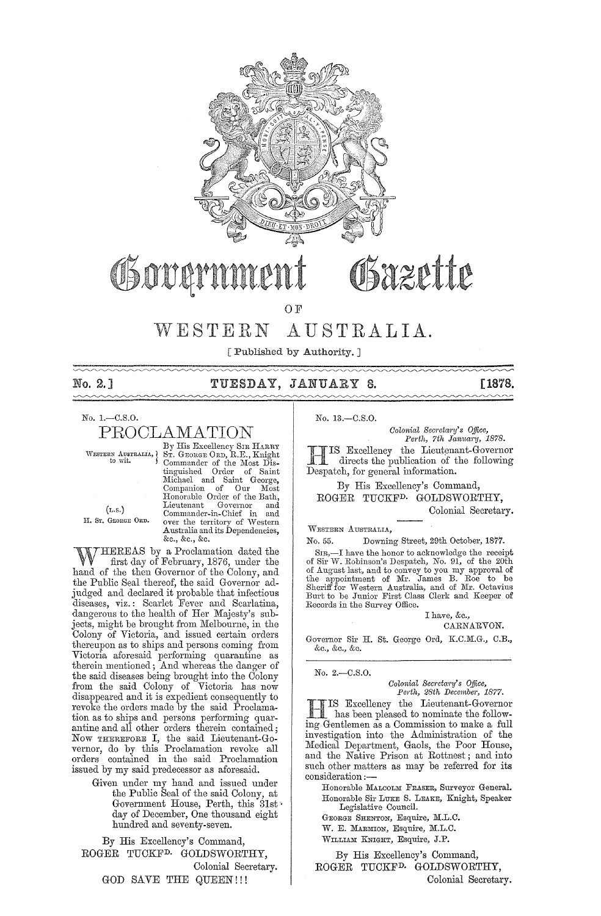

# Sazette Osovan

OF

# WESTERN AUSTRALIA.

[Published by Authority. ]

| No. 2.1 |  | TUESDAY, JANUARY 8. |  | [1878. |
|---------|--|---------------------|--|--------|
|         |  |                     |  |        |

No. I.-C.S.O. PROOLAMATION

By His Excellency SIR HARRY<br>WESTERN AUSTRALIA, ST. GEORGE ORD, R.E., Knight<br>Commander of the Most Distinguished Order of Saint<br>Michael and Saint George,<br>Companion of Our Most<br>Honorable-Order-of-the-Bath, (r.s.) Lieutenant Governor and<br>
Eommander-in-Chief in and<br>
I. Sr. Geonge Ond. over the territory of Western Australia and its Dependencies, &c., &c., &c.

WHEREAS by a Proclamation dated the first day of February, 1876, under the hand of the then Governor of the Colony, and the Public Seal thereof, the said Governor adjudged and declared it probable that infectious diseases, viz.; Scarlet Fever and Scarlatina, dangerous to the health of Her Majesty's subjects, might be brought from Melbourne, in the Colony of Victoria, and issued certain orders thereupon as to ships and persons coming from Victoria aforesaid performing quarantine as therein mentioned; And whereas the danger of the said diseases being brought into the Colony from the said Colony of Victoria has now disappeared and it is expedient consequently to revoke the orders made by the said Proclamation as to ships and persons performing quarantine and all other orders therein contained; Now THEREFORE I, the said Lieutenant-Governor, do by this Proclamation revoke all orders contained in the said Proclamation issued by my said predecessor as aforesaid.

Given under my hand and issued under the Public Seal of the said Colony, at Government House, Perth, this 31st day of December, One thousand eight hundred and seventy-seven.

By His Excellency's Command, ROGER TUCKFD. GOLDSWORTHY, Colonial Secretary. GOD SAVE THE QUEEN!!!

No. 13.-C.S.0.

*Colonial Secretary's Office, Perth, 7th January, 1878.* 

IS Excellency the Lieutenant-Governor directs the publication of the following Despatch, for general information.

By His Excellency's Command, ROGER TUCKFD. GOLDSWORTHY, Colonial Secretary.

WESTERN AUSTRALIA,

No. 55. Downing Street, 29th October, 1877.

SIR,-I have the honor to acknowledge the receipt of Sir W. Robinson's Despatch, No. 91, of the 20th of August last, and to convey to you my approval of<br>the appointment of Mr. James B. Roe to be<br>Sheriff for Western Australia, and of Mr. Octavius<br>Burt to be Junior First Class Clerk and Keeper of Records in the Survey Office.

I have, &c., CARNARVON.

Governor Sir H. St. George Ord, K.C.M.G., C.B., &c" &c., &c.

No.2.-C.S.0.

*Colonial Secretary's Office, Pm'tl" 28th December, 1877.* 

HIS Excellency the Lieutenant-Governor has been pleased to nominate the following Gentlemen as a Commission to make a full investigation into the Administration of the Medical Department, Gaols, the Poor House, and the Native Prison at Rottnest; and into such other matters as may be referred for its consideration :--

Honorable MALCOLM FRASER, Surveyor General. Honorable Sir LUKE S. LEARE, Knight, Speaker Legislative Council.

GEORGE SHENTON, Esquire, M.L.C.

W. E. MARMION, Esquire, M.L.C.

WILLIAM KNIGHT, Esquire, J.P.

By His Excellency's Command, ROGER TUCKFD. GOLDSWORTHY, Colonial Secretary.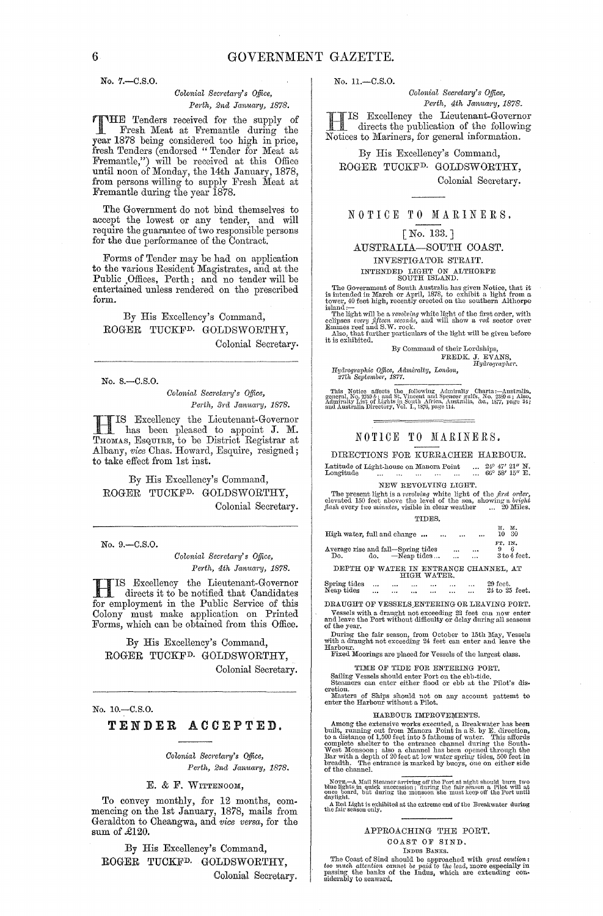No. 7.-C.S.O.

#### *Colonial Secretm"Y's o.ffice,*  Perth, 2nd January, 1878.

THE Tenders received for the supply of Fresh Meat at Fremantle during the year 1878 being considered too high in price, fresh Tenders (endorsed "Tender for Meat at Fremantle,") will be received at this Office until noon of Monday, the 14th Jauuary, 1878, from persons willing to supply Fresh Meat at Fremantle during the year 1878.

The Government do not bind themselves to accept the lowest or any tender, and will require the guarantee of two responsible persons for the due performanee of the Contract.

Forms of Tender may be had on application to the various Resident Magistrates, and at the Public ,Offices, Perth; and no tender will be entertained unless rendered on the prescribed form.

By His Excellency's Command, ROGER TUCKF<sup>D.</sup> GOLDSWORTHY, Colonial Secretary.

No. 8.-C.S.0.

 $Colonial$  Secretary's Office, Perth, 3rd January, 1878.

H IS Excellency the Lieutenant-Governor has been pleased to appoint J. M. Thomas, Esquire, to be District Registrar at Albany, *vice* Chas. Howard, Esquire, resigned; to take effect from 1st inst.

By His Excellency's Command, ROGER TUCKF<sup>D.</sup> GOLDSWORTHY, Colonial Secretary.

No. 9,-C.S.O.

 ${\it Colonial}$  Secretary's Office, Perth, 4th January, 1878.

H IS Excellency the Lieutenant-Governor directs it to be notified that Candidates for employment in the Public Service of this Colony must make application on Printed Forms, which can be obtained from this Office.

By His Excellency's Command, ROGER TUCKFD. GOLDSWORTHY, Colonial Secretary.

No. 10.-C.S.0.

#### TENDER ACCEPTED.

 ${\it Colonial}$  Secretary's Office, *Perth, 2na. Jamwry, 1878.* 

E. & F. WITTENOOM,

To convey monthly, for 12 months, com- mencing on the 1st January, 1878, mails from Geraldton to Cheangwa, and *vice versa*, for the sum of £120.

By His Excellency's Command, ROGER TUCKFD. GOLDSWORTHY, Colonial Secretary. No. 11.-C.S.O.

*Colonial Secretary's Office, Pm'th, 4th January, 1878.* 

HIS Excellency the Lieutenant-Governor directs the publication of the following Notices to Mariners, for general information.

By His Excellency's Command, ROGER TUCKFD. GOLDSWORTHY,

Colonial Secretary.

#### NOTICE TO MARINERS.

[No. 133.]

# AUSTRALIA-SOUTH COAST. INVESTIGATOR STRAIT.<br>INTENDED LIGHT ON ALTHORPE SOUTH ISLAND.

INTENDED LIGHT ON ALTHORPE<br>
SOUTH ISLAND.<br>
SOUTH ISLAND.<br>
The Government of South Australia has given Notice, that it<br>
is intended in March or April, 1878, to exhibit a light from a<br>
tower, 40 feet high, recently erected o

The light will be a *,.evolving* white light of thc first order, with eclipses every *fifteen* seconds, and will show a *red* sector over Emmes reef and S.W. rock.

Also, that further particulars of the light will be given before it is exhibited. By Command of their Lordships,

FREDK. J. EVANS,<br>*Hydrographer*,

*lIy(lrographic Office, Admiralty, London, 27th September, 1877.* 

This Notice affects the following Admiralty Charts :--Anstruking (2019)<br>general, No. 2759 b; and St. Vincent and Spencer gulfs, No. 2389 a; Also,<br>Admiralty List of Lights in South Africa, Australia, &c., 1877, page 34;<br>and

#### NOTICE TO MARINERS.

DIRECTIONS FOR KURRACHEE HARBOUR.<br>atitude of Light-house on Manora Point ...  $24^{\circ}$   $47'$   $21''$  N,<br>ongitude ... ... ... ... ... ... ... 66° 58' 15" E, Latitude of Light-house on Manora Point ... 24° 47' 21" N.<br>
Longitude ... ... ... ... ... ... 66° 58' 15" E.

NEW REVOLVING LIGHT.<br>The present light is a revolving white light of the first order,<br>elevated 150 feet above the level of the sea, showing a bright<br>flash every two minutes, visible in clear weather [... 20 Miles. TIDES.

| High water, full and change                               |          |                      |             | $\cdots$ | $\cdots$                                     | ш.<br>н.<br>10 30<br>                  |
|-----------------------------------------------------------|----------|----------------------|-------------|----------|----------------------------------------------|----------------------------------------|
| Average rise and fall-Spring tides<br>Do. do. -Neap tides |          |                      |             |          | $\cdots$<br>$\cdots$<br>$\cdots$<br>$\cdots$ | FT. IN.<br>6<br>3 to 4 feet.           |
|                                                           |          |                      | HIGH WATER. |          |                                              | DEPTH OF WATER IN ENTRANCE CHANNEL, AT |
| Spring tides                                              | $\cdots$ | $\cdots$<br>$\cdots$ |             |          | $\cdots$                                     | 29 feet.                               |

Neap tides ... ... ... ... ... ... 24 to 25 feet. DRAUGHT OF VESSELS\_ENTERING OR LEAVING PORT.

Vessels with a draught not exceeding 22 feet can now enter and leave the Port without difficulty or delay during all seasons of the year.

During the fair season, from October to 15th May, Vessels<br>with a draught not exceeding 24 feet can enter and leave the<br>Harbour. Fixed Moorings are placed for Vessels of the largest class.

TIME OF TIDE FOR ENTERING PORT.

Sailing Vessels should enter Port on the ebb-tide.<br>Steamers can enter either flood or ebb at the Pilot's dis-<br>cretion.

llIasters of Ships should *not* on any account pattemt to enter the Harbour Without a Pilot.

#### HARBOUR IMPROVEMENTS.

Among the extensive works executed, a Breakwater has been<br>built, running out from Manora Point in a S. by E. direction,<br>to a distance of 1,500 feet into 5 fathoms of water. This affords<br>complete shelter to the entrance cha

NOTE  $-A$  Mail Steamer arriving off the Port at night should burn two blue lights in quick succession; during the fair season a Pilot will at daylight.<br>Once board, but during the monsoon she must keep off the Port until<br>da A Red Light is exhibited at the extreme end of the Breakwater during the fair season only.

### APPROACHING THE PORT. COAST OF SIND.<br>INDUS BANKS.

The Coast of Sind should be approached with *great caution*: too much attention cannot be paid to the lead, more especially in passing the banks of the Indus, which are extending considerably to seaward.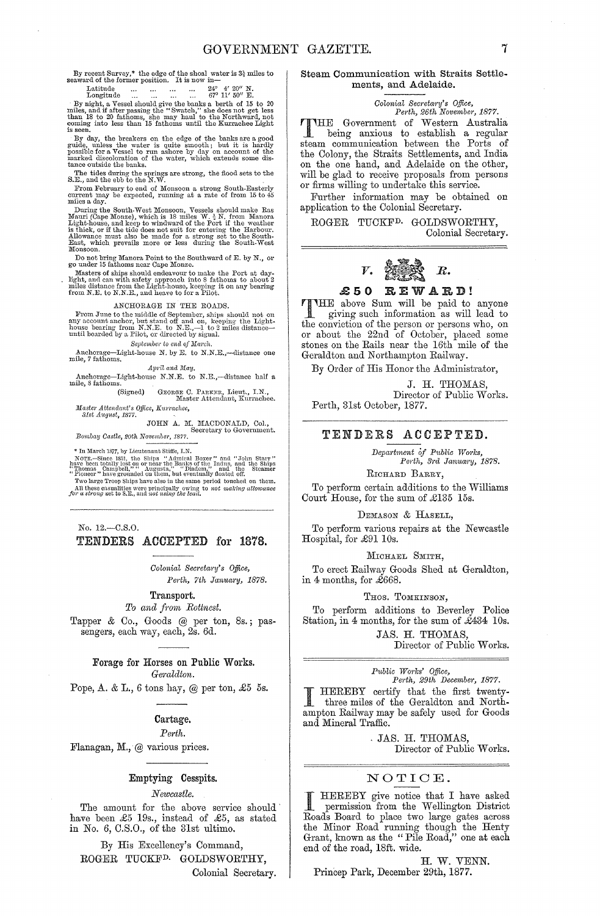By recent Survey,\* the edge of the shoal water is  $3\frac{3}{4}$  miles to seaward of the former position. It is now in—

## $\begin{array}{lllllllllll} \text{Latitude} & \dots & \dots & \dots & 24^{\circ} & 4' & 20'' \text{ N.} \\ \text{Longitude} & \dots & \dots & \dots & 24^{\circ} & 4' & 20'' \text{ N.} \\ \end{array}$

Longitude 67° 11' 50" E. By night, a Vessel should give the banks a berth of 15 to 20 miles, and if after passing the "Swatch," she does not get less than 18 to 20 fathoms, she may haul to the Northward, not coming into less than 15 fathoms until the Kurrachee Light is seen.

By day, the breakers on the edge of the banks are a good guide, unless the water is quite smooth; but it is hardly possible for a Vessel to run ashore by day on account of the marked discoloration of the water, which exten

The tides during the springs are strong, the flood sets to the S.E., and the ebb to the N.W.

From February to end of Monsoon a strong South-Easterly current may be expected, running at a rate of from 15 to 45 miles a day.

During the South-West Monsoon, Vessels should make Ras Mauri (Cape Monze), which is 18 miles W.  $\frac{1}{2}$  M. from Manora Light-house, and keep to windward of the Port if the weather is thick, or if the tide does not suit

Do not bring Manora Point to the Southward of E. by N., or go under 15 fathoms near Cape Monze.

Masters of ships should endeavour to make the Port at day-<br>light, and can with safety approach into 8 fathoms to about 2 miles distance from the Light-house, keeping it on any bearing from N.E. to N.N.E., and heave to for a Pilot.

ANCHORAGE IN THE ROADS.<br>I'rom June to the middle of September, ships should not on any account anchor, but stand off and on, keeping the Light-<br>house bearing from N.N.E. to N.E.,—l to 2 miles distance—<br>until boarded by a Pilot, or directed by signal.

*September to end of March.*<br>
Anchorage--Light-house N. by E. to N.N.E.,--distance one mile, 7 fathoms.

*April and May.* 

Anchomge-Light-house N.N.E. to N.E.,-distance half a mile, 8 fathoms. (Signed) GEORGE C. PAREER, Lieut., I.N.,

GEORGE C. PARKER, Lieut., I.N., Master Attendant, Kurrachee.

*Master Attendant's Office, Kurrachee, 31st August, 1877.* 

JOHN A. M. MACDONALD, Col., Secretary to Government. *Bombay Castle, 20th November, 1877*.

\* In March 1877, by Lieutenant Stiffe, I.N.

Norrs.—Since 1851, the Ships "Admiral Boxer" and "John Starr"<br>have been totally lost on or near the Banks of the Indus, and the Ships<br>"Thomas Campbell,"" Augusta," "Diadem," and the Steamer<br>"Pioneer" have grounded on them,

All these casualities were principally owing- to *not making allowance* for *a strong* set to S.E., and *not using the lead*.

No. 12.-C.S.O. TENDERS ACCEPTED for 1878.

> $Colonial$  Secretary's Office, Perth, 7th January, 1878.

Transport.

 $To$  and from Rottnest.

Tapper & Co., Goods @ per ton, 8s.; passengers, each way, each, 2s. 6d.

> Forage for Horses on Public Works.  $Geraldton.$

Pope, A. & L., 6 tons hay,  $@$  per ton, £5 5s.

#### Cartage.

 $Perth$ 

Flanagan, M., @ various prices.

### Emptying Cesspits.

*Newcastle.* 

The amount for the above service should' have been £5 19s., instead of £5, as stated in No. 6, C.S.O., of the 31st ultimo.

By His Excellency's Command, ROGER TUCKFD. GOLDSWORTHY,

Colonial Secretary.

#### Steam Communication with Straits Settlements, and Adelaide.

#### *Oolonial Secreta?'y's Office, Perth, 26th November, 1877.*

THE Government of Western Australia<br>
being anxious to establish a regular<br>
strom communication between the Ports of steam communication between the Ports of the Colony, the Straits Settlements, and India on the one hand, and Adelaide on the other, will be glad to receive proposals from persons or firms willing to undertake this service.

Further information may be obtained on application to the Colonial Secretary.

ROGER TUCKFD. GOLDSWORTHY, Colonial Secretary.



### .£50 REWARD!

THE above Sum will be paid to anyone giving such information as will lead to the conviction of the person or persons who, on or about the 22nd of October, placed some stones on the Rails near the 16th mile of the Geraldton and Northampton Railway.

By Order of His Honor the Administrator,

J. H. THOMAS, Director of Public Works. Perth, 31st October, 1877.

#### TENDERS ACCEPTED.

*Department of Public Works, Perth, 3rd January, 1878.* 

RICHARD BARRY,

To perform certain additions to the Williams Court House, for the sum of £135 15s.

#### DEMASON & HASELL,

To perform various repairs at the Newcastle Hospital, for £91 10s.

#### MICHAEL SMITH,

To erect Railway Goods Shed at Geraldton, in 4 months, for £668.

#### THOS. TOMKINSON,

To perform additions to Beverley Police Station, in 4 months, for the sum of £434 10s.

JAS. H. THOMAS,

Director of Public Works.

## *Public Works' Office,*<br> *Perth, 29th December, 1877.*

I HEREBY certify that the first twentythree miles of the Geraldton and Northampton Railway may be safely used for Goods and Mineral Traffic.

> JAS. H. THOMAS, Director of Public Works.

### NOTIOE.

I HEREBY give notice that I have asked<br>
permission from the Wellington District<br>
Party Recall the plane that the stress Roads Board to place two large gates across the Minor Road running though the Renty Grant, known as the "Pile Road," one at each end of the road, 18ft. wide.

H. W. VENN.

Princep Park, December 29th, 1877.